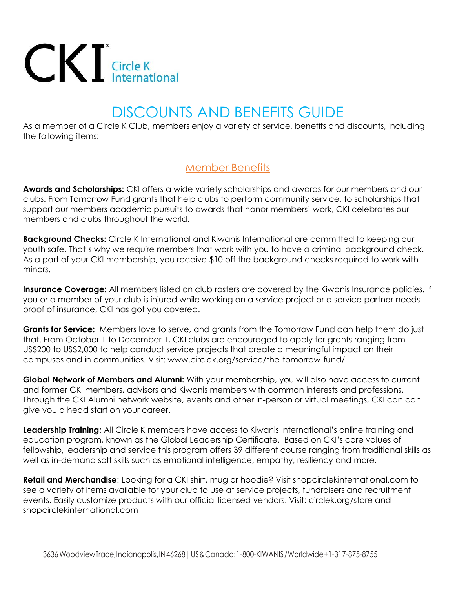## $CKI$  Circle K<br>International

## DISCOUNTS AND BENEFITS GUIDE

As a member of a Circle K Club, members enjoy a variety of service, benefits and discounts, including the following items:

## Member Benefits

**Awards and Scholarships:** CKI offers a wide variety scholarships and awards for our members and our clubs. From Tomorrow Fund grants that help clubs to perform community service, to scholarships that support our members academic pursuits to awards that honor members' work, CKI celebrates our members and clubs throughout the world.

**Background Checks:** Circle K International and Kiwanis International are committed to keeping our youth safe. That's why we require members that work with you to have a criminal background check. As a part of your CKI membership, you receive \$10 off the background checks required to work with minors.

**Insurance Coverage:** All members listed on club rosters are covered by the Kiwanis Insurance policies. If you or a member of your club is injured while working on a service project or a service partner needs proof of insurance, CKI has got you covered.

**Grants for Service:** Members love to serve, and grants from the Tomorrow Fund can help them do just that. From October 1 to December 1, CKI clubs are encouraged to apply for grants ranging from US\$200 to US\$2,000 to help conduct service projects that create a meaningful impact on their campuses and in communities. Visit: www.circlek.org/service/the-tomorrow-fund/

**Global Network of Members and Alumni:** With your membership, you will also have access to current and former CKI members, advisors and Kiwanis members with common interests and professions. Through the CKI Alumni network website, events and other in-person or virtual meetings, CKI can can give you a head start on your career.

**Leadership Training:** All Circle K members have access to Kiwanis International's online training and education program, known as the Global Leadership Certificate. Based on CKI's core values of fellowship, leadership and service this program offers 39 different course ranging from traditional skills as well as in-demand soft skills such as emotional intelligence, empathy, resiliency and more.

**Retail and Merchandise**: Looking for a CKI shirt, mug or hoodie? Visit shopcirclekinternational.com to see a variety of items available for your club to use at service projects, fundraisers and recruitment events. Easily customize products with our official licensed vendors. Visit: circlek.org/store and shopcirclekinternational.com